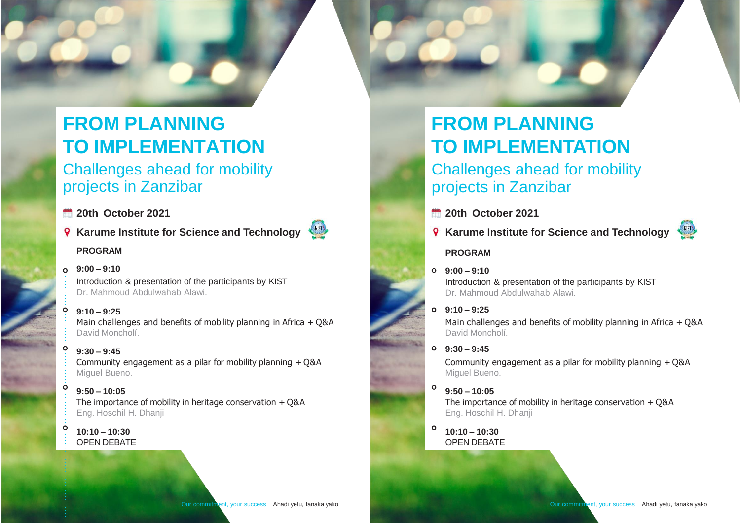# **FROM PLANNING TO IMPLEMENTATION**

Challenges ahead for mobility projects in Zanzibar

- **20th October 2021**
- **Karume Institute for Science and Technology**

#### **PROGRAM**

#### **9:00 – 9:10**

Introduction & presentation of the participants by KIST Dr. Mahmoud Abdulwahab Alawi.

**9:10 – 9:25**

Main challenges and benefits of mobility planning in Africa + Q&A David Moncholí.

**9:30 – 9:45** Community engagement as a pilar for mobility planning + Q&A Miguel Bueno.

#### $\ddot{\mathbf{o}}$ **9:50 – 10:05**

The importance of mobility in heritage conservation + Q&A Eng. Hoschil H. Dhanji

 $\bullet$ **10:10 – 10:30** OPEN DEBATE

# **FROM PLANNING TO IMPLEMENTATION** Challenges ahead for mobility projects in Zanzibar

- **20th October 2021**
- **Karume Institute for Science and Technology**

### **PROGRAM**

#### **9:00 – 9:10**

Introduction & presentation of the participants by KIST Dr. Mahmoud Abdulwahab Alawi.

### **9:10 – 9:25**

Main challenges and benefits of mobility planning in Africa + Q&A David Moncholí.

### **9:30 – 9:45**

Community engagement as a pilar for mobility planning + Q&A Miguel Bueno.

#### **9:50 – 10:05**

The importance of mobility in heritage conservation + Q&A Eng. Hoschil H. Dhanji

**10:10 – 10:30** OPEN DEBATE